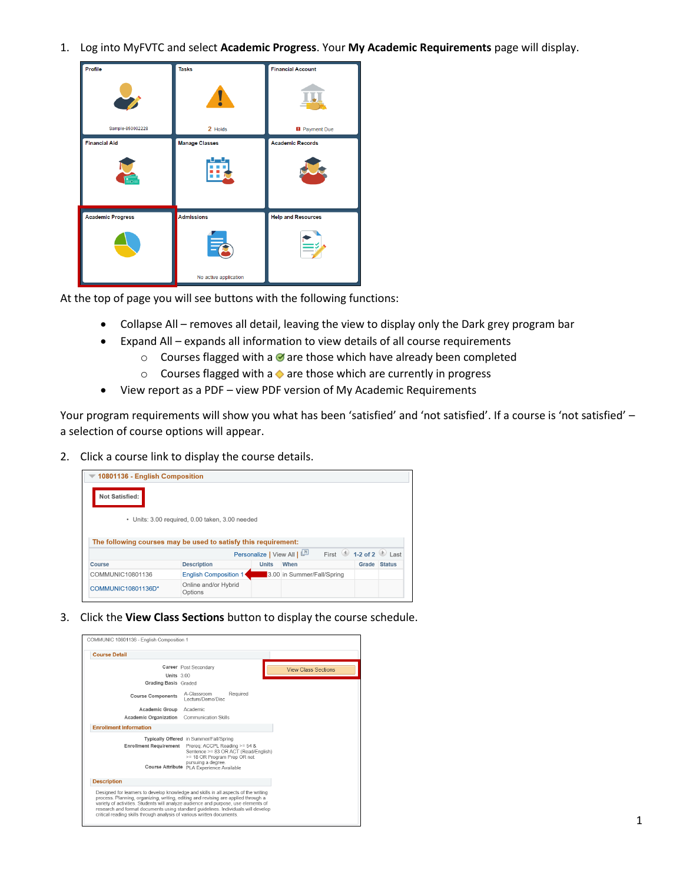1. Log into MyFVTC and select **Academic Progress**. Your **My Academic Requirements** page will display.

| Profile                  | <b>Tasks</b>          | <b>Financial Account</b>  |
|--------------------------|-----------------------|---------------------------|
|                          | Ц                     |                           |
| Sample-850002228         | 2 Holds               | <b>B</b> Payment Due      |
| <b>Financial Aid</b>     | <b>Manage Classes</b> | <b>Academic Records</b>   |
| $E_{\rm{O}}$             |                       |                           |
| <b>Academic Progress</b> | <b>Admissions</b>     | <b>Help and Resources</b> |
|                          |                       |                           |
|                          | No active application |                           |

At the top of page you will see buttons with the following functions:

- Collapse All removes all detail, leaving the view to display only the Dark grey program bar
- Expand All expands all information to view details of all course requirements
	- $\circ$  Courses flagged with a  $\bullet$  are those which have already been completed
	- $\circ$  Courses flagged with a  $\bullet$  are those which are currently in progress
- View report as a PDF view PDF version of My Academic Requirements

Your program requirements will show you what has been 'satisfied' and 'not satisfied'. If a course is 'not satisfied' – a selection of course options will appear.

2. Click a course link to display the course details.

|                  | 10801136 - English Composition                                 |              |                                                                                      |              |
|------------------|----------------------------------------------------------------|--------------|--------------------------------------------------------------------------------------|--------------|
| Not Satisfied:   |                                                                |              |                                                                                      |              |
|                  | · Units: 3.00 required, 0.00 taken, 3.00 needed                |              |                                                                                      |              |
|                  |                                                                |              |                                                                                      |              |
|                  |                                                                |              |                                                                                      |              |
|                  | The following courses may be used to satisfy this requirement: |              |                                                                                      |              |
|                  |                                                                |              | First $\bigcirc$ 1-2 of 2 $\bigcirc$ Last<br>Personalize   View All   <mark>스</mark> |              |
| Course           | <b>Description</b>                                             | <b>Units</b> | When                                                                                 | Grade Status |
| COMMUNIC10801136 | English Composition 1                                          |              | 3.00 in Summer/Fall/Spring                                                           |              |

3. Click the **View Class Sections** button to display the course schedule.

| COMMUNIC 10801136 - English Composition 1                                                                                                                                                                                                                                                                                                                                                                                      |                                                                                                                                                                        |                            |
|--------------------------------------------------------------------------------------------------------------------------------------------------------------------------------------------------------------------------------------------------------------------------------------------------------------------------------------------------------------------------------------------------------------------------------|------------------------------------------------------------------------------------------------------------------------------------------------------------------------|----------------------------|
| <b>Course Detail</b>                                                                                                                                                                                                                                                                                                                                                                                                           |                                                                                                                                                                        |                            |
|                                                                                                                                                                                                                                                                                                                                                                                                                                | Career Post Secondary                                                                                                                                                  | <b>View Class Sections</b> |
| <b>Units</b> 3.00                                                                                                                                                                                                                                                                                                                                                                                                              |                                                                                                                                                                        |                            |
| Grading Basis Graded                                                                                                                                                                                                                                                                                                                                                                                                           |                                                                                                                                                                        |                            |
| <b>Course Components</b>                                                                                                                                                                                                                                                                                                                                                                                                       | A-Classroom<br>Required<br>Lecture/Demo/Disc                                                                                                                           |                            |
| Academic Group Academic                                                                                                                                                                                                                                                                                                                                                                                                        |                                                                                                                                                                        |                            |
| Academic Organization Communication Skills                                                                                                                                                                                                                                                                                                                                                                                     |                                                                                                                                                                        |                            |
| <b>Enrollment Information</b>                                                                                                                                                                                                                                                                                                                                                                                                  |                                                                                                                                                                        |                            |
| <b>Enrollment Requirement</b>                                                                                                                                                                                                                                                                                                                                                                                                  | Typically Offered in Summer/Fall/Spring<br>Prereg: ACCPL Reading >= 54 &<br>Sentence >= 83 OR ACT (Read/English)<br>>= 18 OR Program Prep OR not<br>pursuing a degree. |                            |
|                                                                                                                                                                                                                                                                                                                                                                                                                                | Course Attribute PLA Experience Available                                                                                                                              |                            |
| <b>Description</b>                                                                                                                                                                                                                                                                                                                                                                                                             |                                                                                                                                                                        |                            |
| Designed for learners to develop knowledge and skills in all aspects of the writing<br>process. Planning, organizing, writing, editing and revising are applied through a<br>variety of activities. Students will analyze audience and purpose, use elements of<br>research and format documents using standard quidelines. Individuals will develop<br>critical reading skills through analysis of various written documents. |                                                                                                                                                                        |                            |